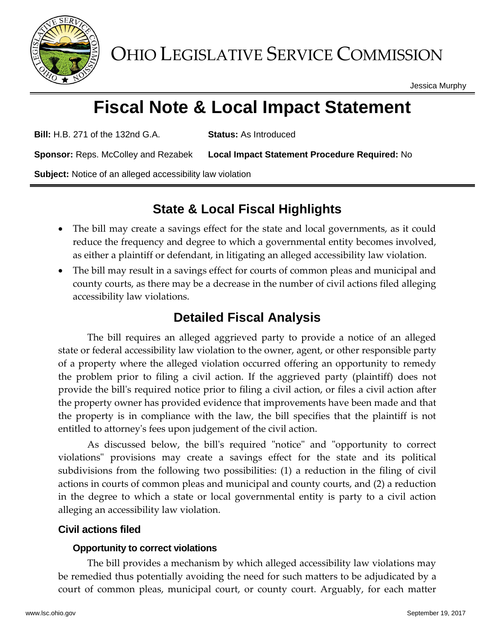

Jessica Murphy

# **Fiscal Note & Local Impact Statement**

**Bill:** H.B. 271 of the 132nd G.A. **Status:** As Introduced

**Sponsor:** Reps. McColley and Rezabek **Local Impact Statement Procedure Required:** No

**Subject:** Notice of an alleged accessibility law violation

## **State & Local Fiscal Highlights**

- The bill may create a savings effect for the state and local governments, as it could reduce the frequency and degree to which a governmental entity becomes involved, as either a plaintiff or defendant, in litigating an alleged accessibility law violation.
- The bill may result in a savings effect for courts of common pleas and municipal and county courts, as there may be a decrease in the number of civil actions filed alleging accessibility law violations.

## **Detailed Fiscal Analysis**

The bill requires an alleged aggrieved party to provide a notice of an alleged state or federal accessibility law violation to the owner, agent, or other responsible party of a property where the alleged violation occurred offering an opportunity to remedy the problem prior to filing a civil action. If the aggrieved party (plaintiff) does not provide the bill's required notice prior to filing a civil action, or files a civil action after the property owner has provided evidence that improvements have been made and that the property is in compliance with the law, the bill specifies that the plaintiff is not entitled to attorney's fees upon judgement of the civil action.

As discussed below, the bill's required "notice" and "opportunity to correct violations" provisions may create a savings effect for the state and its political subdivisions from the following two possibilities: (1) a reduction in the filing of civil actions in courts of common pleas and municipal and county courts, and (2) a reduction in the degree to which a state or local governmental entity is party to a civil action alleging an accessibility law violation.

### **Civil actions filed**

#### **Opportunity to correct violations**

The bill provides a mechanism by which alleged accessibility law violations may be remedied thus potentially avoiding the need for such matters to be adjudicated by a court of common pleas, municipal court, or county court. Arguably, for each matter